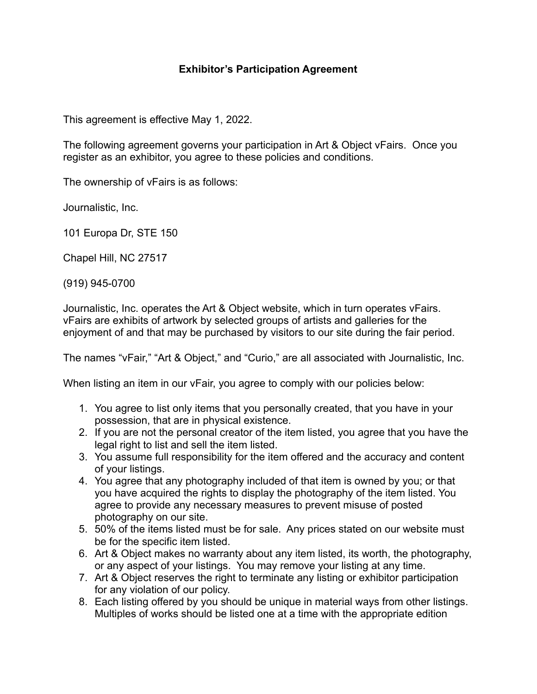## **Exhibitor's Participation Agreement**

This agreement is effective May 1, 2022.

The following agreement governs your participation in Art & Object vFairs. Once you register as an exhibitor, you agree to these policies and conditions.

The ownership of vFairs is as follows:

Journalistic, Inc.

101 Europa Dr, STE 150

Chapel Hill, NC 27517

(919) 945-0700

Journalistic, Inc. operates the Art & Object website, which in turn operates vFairs. vFairs are exhibits of artwork by selected groups of artists and galleries for the enjoyment of and that may be purchased by visitors to our site during the fair period.

The names "vFair," "Art & Object," and "Curio," are all associated with Journalistic, Inc.

When listing an item in our vFair, you agree to comply with our policies below:

- 1. You agree to list only items that you personally created, that you have in your possession, that are in physical existence.
- 2. If you are not the personal creator of the item listed, you agree that you have the legal right to list and sell the item listed.
- 3. You assume full responsibility for the item offered and the accuracy and content of your listings.
- 4. You agree that any photography included of that item is owned by you; or that you have acquired the rights to display the photography of the item listed. You agree to provide any necessary measures to prevent misuse of posted photography on our site.
- 5. 50% of the items listed must be for sale. Any prices stated on our website must be for the specific item listed.
- 6. Art & Object makes no warranty about any item listed, its worth, the photography, or any aspect of your listings. You may remove your listing at any time.
- 7. Art & Object reserves the right to terminate any listing or exhibitor participation for any violation of our policy.
- 8. Each listing offered by you should be unique in material ways from other listings. Multiples of works should be listed one at a time with the appropriate edition